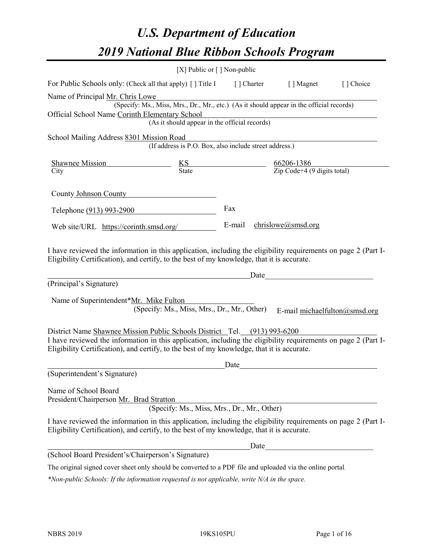# *U.S. Department of Education 2019 National Blue Ribbon Schools Program*

|                                                                                                                                                                                                                                              | [X] Public or $\lceil$ ] Non-public         |      |                                                                                                           |           |
|----------------------------------------------------------------------------------------------------------------------------------------------------------------------------------------------------------------------------------------------|---------------------------------------------|------|-----------------------------------------------------------------------------------------------------------|-----------|
| For Public Schools only: (Check all that apply) [] Title I [] Charter [] Magnet                                                                                                                                                              |                                             |      |                                                                                                           | [] Choice |
| Name of Principal Mr. Chris Lowe                                                                                                                                                                                                             |                                             |      |                                                                                                           |           |
|                                                                                                                                                                                                                                              |                                             |      | r. Chris Lowe<br>(Specify: Ms., Miss, Mrs., Dr., Mr., etc.) (As it should appear in the official records) |           |
| Official School Name Corinth Elementary School                                                                                                                                                                                               |                                             |      | (As it should appear in the official records)<br>(As it should appear in the official records)            |           |
|                                                                                                                                                                                                                                              |                                             |      |                                                                                                           |           |
| School Mailing Address 8301 Mission Road                                                                                                                                                                                                     |                                             |      |                                                                                                           |           |
|                                                                                                                                                                                                                                              |                                             |      | ISSION ROAD<br>(If address is P.O. Box, also include street address.)                                     |           |
|                                                                                                                                                                                                                                              |                                             |      |                                                                                                           |           |
| Shawnee Mission<br>City<br>City<br>City<br>City<br>City<br>City<br>City<br>City<br>City<br>City<br>City<br>City<br>City<br>City<br>City<br>City<br>Code+4 (9 digits total) Digits total Digits total Digits total Digits total Digits total) |                                             |      |                                                                                                           |           |
|                                                                                                                                                                                                                                              |                                             |      |                                                                                                           |           |
| County Johnson County                                                                                                                                                                                                                        |                                             |      |                                                                                                           |           |
|                                                                                                                                                                                                                                              |                                             | Fax  |                                                                                                           |           |
| Telephone (913) 993-2900                                                                                                                                                                                                                     |                                             |      |                                                                                                           |           |
| Web site/URL https://corinth.smsd.org/                                                                                                                                                                                                       |                                             |      | E-mail chrislowe@smsd.org                                                                                 |           |
|                                                                                                                                                                                                                                              |                                             |      |                                                                                                           |           |
| I have reviewed the information in this application, including the eligibility requirements on page 2 (Part I-<br>Eligibility Certification), and certify, to the best of my knowledge, that it is accurate.                                 |                                             |      |                                                                                                           |           |
| (Principal's Signature)                                                                                                                                                                                                                      |                                             |      |                                                                                                           |           |
|                                                                                                                                                                                                                                              |                                             |      |                                                                                                           |           |
| Name of Superintendent*Mr. Mike Fulton                                                                                                                                                                                                       |                                             |      |                                                                                                           |           |
|                                                                                                                                                                                                                                              | (Specify: Ms., Miss, Mrs., Dr., Mr., Other) |      | E-mail michaelfulton@smsd.org                                                                             |           |
|                                                                                                                                                                                                                                              |                                             |      |                                                                                                           |           |
| District Name Shawnee Mission Public Schools District Tel. (913) 993-6200<br>I have reviewed the information in this application, including the eligibility requirements on page 2 (Part I-                                                  |                                             |      |                                                                                                           |           |
| Eligibility Certification), and certify, to the best of my knowledge, that it is accurate.                                                                                                                                                   |                                             |      |                                                                                                           |           |
|                                                                                                                                                                                                                                              |                                             | Date |                                                                                                           |           |
| (Superintendent's Signature)                                                                                                                                                                                                                 |                                             |      | <u> 1980 - Andrea Stadt Britain, fransk politik (</u>                                                     |           |
|                                                                                                                                                                                                                                              |                                             |      |                                                                                                           |           |
| Name of School Board                                                                                                                                                                                                                         |                                             |      |                                                                                                           |           |
| President/Chairperson Mr. Brad Stratton                                                                                                                                                                                                      |                                             |      |                                                                                                           |           |
|                                                                                                                                                                                                                                              |                                             |      |                                                                                                           |           |
|                                                                                                                                                                                                                                              | (Specify: Ms., Miss, Mrs., Dr., Mr., Other) |      |                                                                                                           |           |
| I have reviewed the information in this application, including the eligibility requirements on page 2 (Part I-<br>Eligibility Certification), and certify, to the best of my knowledge, that it is accurate.                                 |                                             |      |                                                                                                           |           |
|                                                                                                                                                                                                                                              |                                             | Date |                                                                                                           |           |
| (School Board President's/Chairperson's Signature)                                                                                                                                                                                           |                                             |      |                                                                                                           |           |

*\*Non-public Schools: If the information requested is not applicable, write N/A in the space.*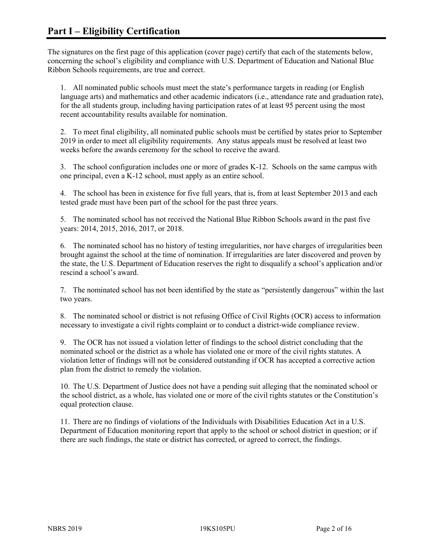The signatures on the first page of this application (cover page) certify that each of the statements below, concerning the school's eligibility and compliance with U.S. Department of Education and National Blue Ribbon Schools requirements, are true and correct.

1. All nominated public schools must meet the state's performance targets in reading (or English language arts) and mathematics and other academic indicators (i.e., attendance rate and graduation rate), for the all students group, including having participation rates of at least 95 percent using the most recent accountability results available for nomination.

2. To meet final eligibility, all nominated public schools must be certified by states prior to September 2019 in order to meet all eligibility requirements. Any status appeals must be resolved at least two weeks before the awards ceremony for the school to receive the award.

3. The school configuration includes one or more of grades K-12. Schools on the same campus with one principal, even a K-12 school, must apply as an entire school.

4. The school has been in existence for five full years, that is, from at least September 2013 and each tested grade must have been part of the school for the past three years.

5. The nominated school has not received the National Blue Ribbon Schools award in the past five years: 2014, 2015, 2016, 2017, or 2018.

6. The nominated school has no history of testing irregularities, nor have charges of irregularities been brought against the school at the time of nomination. If irregularities are later discovered and proven by the state, the U.S. Department of Education reserves the right to disqualify a school's application and/or rescind a school's award.

7. The nominated school has not been identified by the state as "persistently dangerous" within the last two years.

8. The nominated school or district is not refusing Office of Civil Rights (OCR) access to information necessary to investigate a civil rights complaint or to conduct a district-wide compliance review.

9. The OCR has not issued a violation letter of findings to the school district concluding that the nominated school or the district as a whole has violated one or more of the civil rights statutes. A violation letter of findings will not be considered outstanding if OCR has accepted a corrective action plan from the district to remedy the violation.

10. The U.S. Department of Justice does not have a pending suit alleging that the nominated school or the school district, as a whole, has violated one or more of the civil rights statutes or the Constitution's equal protection clause.

11. There are no findings of violations of the Individuals with Disabilities Education Act in a U.S. Department of Education monitoring report that apply to the school or school district in question; or if there are such findings, the state or district has corrected, or agreed to correct, the findings.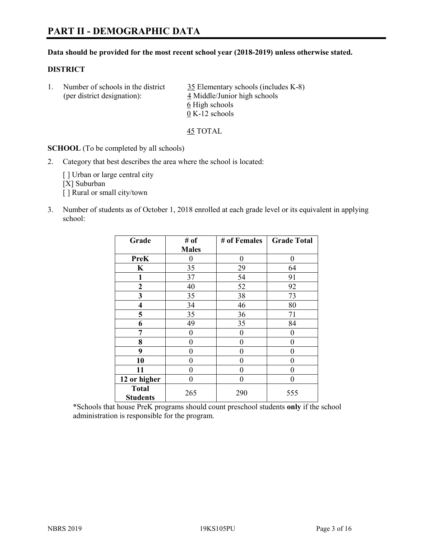#### **Data should be provided for the most recent school year (2018-2019) unless otherwise stated.**

#### **DISTRICT**

| (per district designation): | Number of schools in the district | 35 Elementary schools (includes K-8)<br>4 Middle/Junior high schools |
|-----------------------------|-----------------------------------|----------------------------------------------------------------------|
|                             |                                   | 6 High schools                                                       |
|                             |                                   | $0 K-12$ schools                                                     |

45 TOTAL

**SCHOOL** (To be completed by all schools)

2. Category that best describes the area where the school is located:

[] Urban or large central city [X] Suburban [] Rural or small city/town

3. Number of students as of October 1, 2018 enrolled at each grade level or its equivalent in applying school:

| Grade                           | # of         | # of Females | <b>Grade Total</b> |
|---------------------------------|--------------|--------------|--------------------|
|                                 | <b>Males</b> |              |                    |
| <b>PreK</b>                     | 0            | $\theta$     | 0                  |
| $\mathbf K$                     | 35           | 29           | 64                 |
| 1                               | 37           | 54           | 91                 |
| 2                               | 40           | 52           | 92                 |
| 3                               | 35           | 38           | 73                 |
| 4                               | 34           | 46           | 80                 |
| 5                               | 35           | 36           | 71                 |
| 6                               | 49           | 35           | 84                 |
| 7                               | 0            | $\theta$     | 0                  |
| 8                               | 0            | $\theta$     | 0                  |
| 9                               | 0            | $\theta$     | 0                  |
| 10                              | 0            | $\theta$     | 0                  |
| 11                              | $\theta$     | 0            | 0                  |
| 12 or higher                    | 0            | 0            | 0                  |
| <b>Total</b><br><b>Students</b> | 265          | 290          | 555                |

\*Schools that house PreK programs should count preschool students **only** if the school administration is responsible for the program.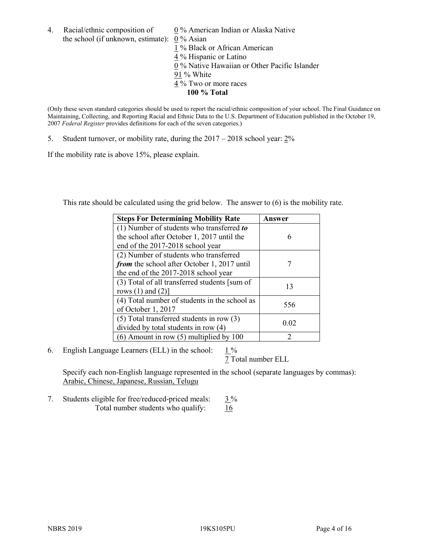4. Racial/ethnic composition of  $0\%$  American Indian or Alaska Native the school (if unknown, estimate): 0 % Asian

 % Black or African American % Hispanic or Latino % Native Hawaiian or Other Pacific Islander 91 % White % Two or more races **100 % Total**

(Only these seven standard categories should be used to report the racial/ethnic composition of your school. The Final Guidance on Maintaining, Collecting, and Reporting Racial and Ethnic Data to the U.S. Department of Education published in the October 19, 2007 *Federal Register* provides definitions for each of the seven categories.)

5. Student turnover, or mobility rate, during the 2017 – 2018 school year: 2%

If the mobility rate is above 15%, please explain.

This rate should be calculated using the grid below. The answer to (6) is the mobility rate.

| <b>Steps For Determining Mobility Rate</b>    | Answer |
|-----------------------------------------------|--------|
| (1) Number of students who transferred to     |        |
| the school after October 1, 2017 until the    | 6      |
| end of the 2017-2018 school year              |        |
| (2) Number of students who transferred        |        |
| from the school after October 1, 2017 until   |        |
| the end of the 2017-2018 school year          |        |
| (3) Total of all transferred students [sum of | 13     |
| rows $(1)$ and $(2)$ ]                        |        |
| (4) Total number of students in the school as |        |
| of October 1, 2017                            | 556    |
| $(5)$ Total transferred students in row $(3)$ |        |
| divided by total students in row (4)          | 0.02   |
| $(6)$ Amount in row $(5)$ multiplied by 100   | 2      |

6. English Language Learners (ELL) in the school:  $1\%$ 

7 Total number ELL

Specify each non-English language represented in the school (separate languages by commas): Arabic, Chinese, Japanese, Russian, Telugu

7. Students eligible for free/reduced-priced meals:  $3\%$ Total number students who qualify:  $\frac{16}{6}$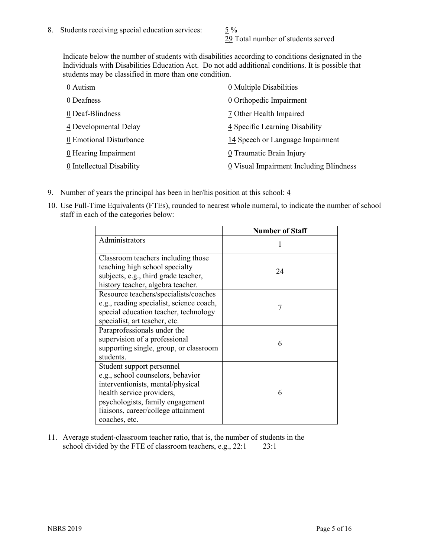29 Total number of students served

Indicate below the number of students with disabilities according to conditions designated in the Individuals with Disabilities Education Act. Do not add additional conditions. It is possible that students may be classified in more than one condition.

| 0 Autism                  | 0 Multiple Disabilities                 |
|---------------------------|-----------------------------------------|
| 0 Deafness                | 0 Orthopedic Impairment                 |
| 0 Deaf-Blindness          | 7 Other Health Impaired                 |
| 4 Developmental Delay     | 4 Specific Learning Disability          |
| 0 Emotional Disturbance   | 14 Speech or Language Impairment        |
| 0 Hearing Impairment      | 0 Traumatic Brain Injury                |
| 0 Intellectual Disability | 0 Visual Impairment Including Blindness |

- 9. Number of years the principal has been in her/his position at this school:  $\frac{4}{3}$
- 10. Use Full-Time Equivalents (FTEs), rounded to nearest whole numeral, to indicate the number of school staff in each of the categories below:

|                                                                                                                                                                                                                              | <b>Number of Staff</b> |
|------------------------------------------------------------------------------------------------------------------------------------------------------------------------------------------------------------------------------|------------------------|
| Administrators                                                                                                                                                                                                               |                        |
| Classroom teachers including those<br>teaching high school specialty<br>subjects, e.g., third grade teacher,<br>history teacher, algebra teacher.                                                                            | 24                     |
| Resource teachers/specialists/coaches<br>e.g., reading specialist, science coach,<br>special education teacher, technology<br>specialist, art teacher, etc.                                                                  | 7                      |
| Paraprofessionals under the<br>supervision of a professional<br>supporting single, group, or classroom<br>students.                                                                                                          | 6                      |
| Student support personnel<br>e.g., school counselors, behavior<br>interventionists, mental/physical<br>health service providers,<br>psychologists, family engagement<br>liaisons, career/college attainment<br>coaches, etc. | 6                      |

11. Average student-classroom teacher ratio, that is, the number of students in the school divided by the FTE of classroom teachers, e.g., 22:1 23:1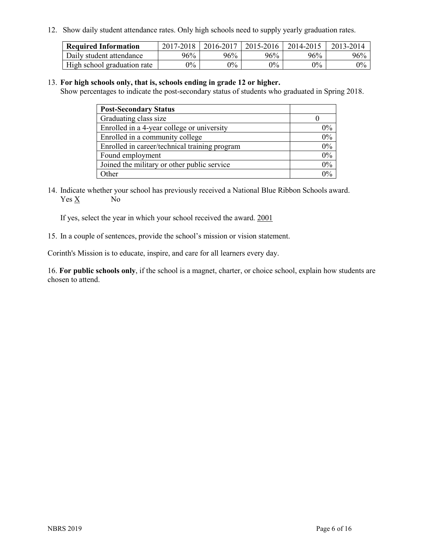12. Show daily student attendance rates. Only high schools need to supply yearly graduation rates.

| <b>Required Information</b> | 2017-2018 | 2016-2017 | 2015-2016 | 2014-2015 | 2013-2014 |
|-----------------------------|-----------|-----------|-----------|-----------|-----------|
| Daily student attendance    | 96%       | 96%       | 96%       | 96%       | 96%       |
| High school graduation rate | $0\%$     | $0\%$     | $0\%$     | $0\%$     | $0\%$     |

#### 13. **For high schools only, that is, schools ending in grade 12 or higher.**

Show percentages to indicate the post-secondary status of students who graduated in Spring 2018.

| <b>Post-Secondary Status</b>                  |       |
|-----------------------------------------------|-------|
| Graduating class size                         |       |
| Enrolled in a 4-year college or university    | $0\%$ |
| Enrolled in a community college               | 0%    |
| Enrolled in career/technical training program | 0%    |
| Found employment                              | 0%    |
| Joined the military or other public service   | 0%    |
| Other                                         | $0\%$ |

14. Indicate whether your school has previously received a National Blue Ribbon Schools award. Yes X No

If yes, select the year in which your school received the award. 2001

15. In a couple of sentences, provide the school's mission or vision statement.

Corinth's Mission is to educate, inspire, and care for all learners every day.

16. **For public schools only**, if the school is a magnet, charter, or choice school, explain how students are chosen to attend.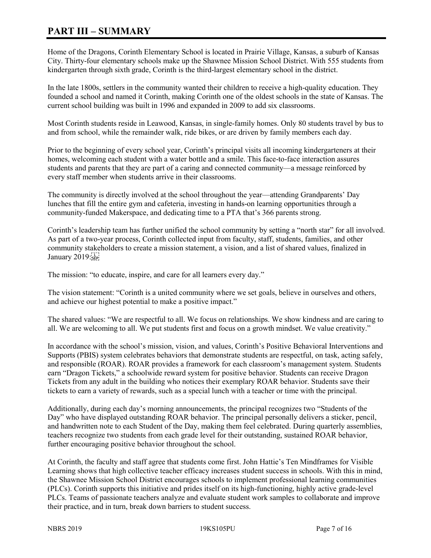# **PART III – SUMMARY**

Home of the Dragons, Corinth Elementary School is located in Prairie Village, Kansas, a suburb of Kansas City. Thirty-four elementary schools make up the Shawnee Mission School District. With 555 students from kindergarten through sixth grade, Corinth is the third-largest elementary school in the district.

In the late 1800s, settlers in the community wanted their children to receive a high-quality education. They founded a school and named it Corinth, making Corinth one of the oldest schools in the state of Kansas. The current school building was built in 1996 and expanded in 2009 to add six classrooms.

Most Corinth students reside in Leawood, Kansas, in single-family homes. Only 80 students travel by bus to and from school, while the remainder walk, ride bikes, or are driven by family members each day.

Prior to the beginning of every school year, Corinth's principal visits all incoming kindergarteners at their homes, welcoming each student with a water bottle and a smile. This face-to-face interaction assures students and parents that they are part of a caring and connected community—a message reinforced by every staff member when students arrive in their classrooms.

The community is directly involved at the school throughout the year—attending Grandparents' Day lunches that fill the entire gym and cafeteria, investing in hands-on learning opportunities through a community-funded Makerspace, and dedicating time to a PTA that's 366 parents strong.

Corinth's leadership team has further unified the school community by setting a "north star" for all involved. As part of a two-year process, Corinth collected input from faculty, staff, students, families, and other community stakeholders to create a mission statement, a vision, and a list of shared values, finalized in January 2019:

The mission: "to educate, inspire, and care for all learners every day."

The vision statement: "Corinth is a united community where we set goals, believe in ourselves and others, and achieve our highest potential to make a positive impact."

The shared values: "We are respectful to all. We focus on relationships. We show kindness and are caring to all. We are welcoming to all. We put students first and focus on a growth mindset. We value creativity."

In accordance with the school's mission, vision, and values, Corinth's Positive Behavioral Interventions and Supports (PBIS) system celebrates behaviors that demonstrate students are respectful, on task, acting safely, and responsible (ROAR). ROAR provides a framework for each classroom's management system. Students earn "Dragon Tickets," a schoolwide reward system for positive behavior. Students can receive Dragon Tickets from any adult in the building who notices their exemplary ROAR behavior. Students save their tickets to earn a variety of rewards, such as a special lunch with a teacher or time with the principal.

Additionally, during each day's morning announcements, the principal recognizes two "Students of the Day" who have displayed outstanding ROAR behavior. The principal personally delivers a sticker, pencil, and handwritten note to each Student of the Day, making them feel celebrated. During quarterly assemblies, teachers recognize two students from each grade level for their outstanding, sustained ROAR behavior, further encouraging positive behavior throughout the school.

At Corinth, the faculty and staff agree that students come first. John Hattie's Ten Mindframes for Visible Learning shows that high collective teacher efficacy increases student success in schools. With this in mind, the Shawnee Mission School District encourages schools to implement professional learning communities (PLCs). Corinth supports this initiative and prides itself on its high-functioning, highly active grade-level PLCs. Teams of passionate teachers analyze and evaluate student work samples to collaborate and improve their practice, and in turn, break down barriers to student success.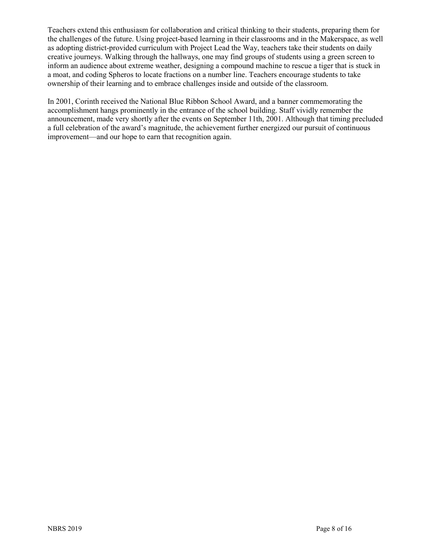Teachers extend this enthusiasm for collaboration and critical thinking to their students, preparing them for the challenges of the future. Using project-based learning in their classrooms and in the Makerspace, as well as adopting district-provided curriculum with Project Lead the Way, teachers take their students on daily creative journeys. Walking through the hallways, one may find groups of students using a green screen to inform an audience about extreme weather, designing a compound machine to rescue a tiger that is stuck in a moat, and coding Spheros to locate fractions on a number line. Teachers encourage students to take ownership of their learning and to embrace challenges inside and outside of the classroom.

In 2001, Corinth received the National Blue Ribbon School Award, and a banner commemorating the accomplishment hangs prominently in the entrance of the school building. Staff vividly remember the announcement, made very shortly after the events on September 11th, 2001. Although that timing precluded a full celebration of the award's magnitude, the achievement further energized our pursuit of continuous improvement—and our hope to earn that recognition again.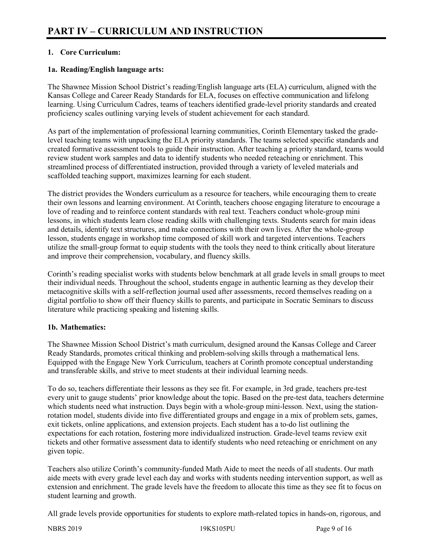# **1. Core Curriculum:**

# **1a. Reading/English language arts:**

The Shawnee Mission School District's reading/English language arts (ELA) curriculum, aligned with the Kansas College and Career Ready Standards for ELA, focuses on effective communication and lifelong learning. Using Curriculum Cadres, teams of teachers identified grade-level priority standards and created proficiency scales outlining varying levels of student achievement for each standard.

As part of the implementation of professional learning communities, Corinth Elementary tasked the gradelevel teaching teams with unpacking the ELA priority standards. The teams selected specific standards and created formative assessment tools to guide their instruction. After teaching a priority standard, teams would review student work samples and data to identify students who needed reteaching or enrichment. This streamlined process of differentiated instruction, provided through a variety of leveled materials and scaffolded teaching support, maximizes learning for each student.

The district provides the Wonders curriculum as a resource for teachers, while encouraging them to create their own lessons and learning environment. At Corinth, teachers choose engaging literature to encourage a love of reading and to reinforce content standards with real text. Teachers conduct whole-group mini lessons, in which students learn close reading skills with challenging texts. Students search for main ideas and details, identify text structures, and make connections with their own lives. After the whole-group lesson, students engage in workshop time composed of skill work and targeted interventions. Teachers utilize the small-group format to equip students with the tools they need to think critically about literature and improve their comprehension, vocabulary, and fluency skills.

Corinth's reading specialist works with students below benchmark at all grade levels in small groups to meet their individual needs. Throughout the school, students engage in authentic learning as they develop their metacognitive skills with a self-reflection journal used after assessments, record themselves reading on a digital portfolio to show off their fluency skills to parents, and participate in Socratic Seminars to discuss literature while practicing speaking and listening skills.

# **1b. Mathematics:**

The Shawnee Mission School District's math curriculum, designed around the Kansas College and Career Ready Standards, promotes critical thinking and problem-solving skills through a mathematical lens. Equipped with the Engage New York Curriculum, teachers at Corinth promote conceptual understanding and transferable skills, and strive to meet students at their individual learning needs.

To do so, teachers differentiate their lessons as they see fit. For example, in 3rd grade, teachers pre-test every unit to gauge students' prior knowledge about the topic. Based on the pre-test data, teachers determine which students need what instruction. Days begin with a whole-group mini-lesson. Next, using the stationrotation model, students divide into five differentiated groups and engage in a mix of problem sets, games, exit tickets, online applications, and extension projects. Each student has a to-do list outlining the expectations for each rotation, fostering more individualized instruction. Grade-level teams review exit tickets and other formative assessment data to identify students who need reteaching or enrichment on any given topic.

Teachers also utilize Corinth's community-funded Math Aide to meet the needs of all students. Our math aide meets with every grade level each day and works with students needing intervention support, as well as extension and enrichment. The grade levels have the freedom to allocate this time as they see fit to focus on student learning and growth.

All grade levels provide opportunities for students to explore math-related topics in hands-on, rigorous, and

NBRS 2019 19KS105PU Page 9 of 16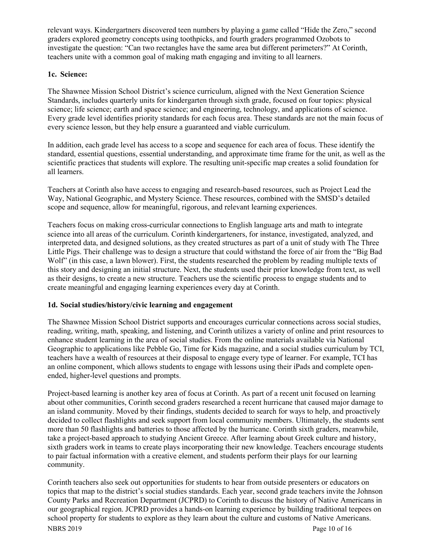relevant ways. Kindergartners discovered teen numbers by playing a game called "Hide the Zero," second graders explored geometry concepts using toothpicks, and fourth graders programmed Ozobots to investigate the question: "Can two rectangles have the same area but different perimeters?" At Corinth, teachers unite with a common goal of making math engaging and inviting to all learners.

# **1c. Science:**

The Shawnee Mission School District's science curriculum, aligned with the Next Generation Science Standards, includes quarterly units for kindergarten through sixth grade, focused on four topics: physical science; life science; earth and space science; and engineering, technology, and applications of science. Every grade level identifies priority standards for each focus area. These standards are not the main focus of every science lesson, but they help ensure a guaranteed and viable curriculum.

In addition, each grade level has access to a scope and sequence for each area of focus. These identify the standard, essential questions, essential understanding, and approximate time frame for the unit, as well as the scientific practices that students will explore. The resulting unit-specific map creates a solid foundation for all learners.

Teachers at Corinth also have access to engaging and research-based resources, such as Project Lead the Way, National Geographic, and Mystery Science. These resources, combined with the SMSD's detailed scope and sequence, allow for meaningful, rigorous, and relevant learning experiences.

Teachers focus on making cross-curricular connections to English language arts and math to integrate science into all areas of the curriculum. Corinth kindergarteners, for instance, investigated, analyzed, and interpreted data, and designed solutions, as they created structures as part of a unit of study with The Three Little Pigs. Their challenge was to design a structure that could withstand the force of air from the "Big Bad Wolf' (in this case, a lawn blower). First, the students researched the problem by reading multiple texts of this story and designing an initial structure. Next, the students used their prior knowledge from text, as well as their designs, to create a new structure. Teachers use the scientific process to engage students and to create meaningful and engaging learning experiences every day at Corinth.

# **1d. Social studies/history/civic learning and engagement**

The Shawnee Mission School District supports and encourages curricular connections across social studies, reading, writing, math, speaking, and listening, and Corinth utilizes a variety of online and print resources to enhance student learning in the area of social studies. From the online materials available via National Geographic to applications like Pebble Go, Time for Kids magazine, and a social studies curriculum by TCI, teachers have a wealth of resources at their disposal to engage every type of learner. For example, TCI has an online component, which allows students to engage with lessons using their iPads and complete openended, higher-level questions and prompts.

Project-based learning is another key area of focus at Corinth. As part of a recent unit focused on learning about other communities, Corinth second graders researched a recent hurricane that caused major damage to an island community. Moved by their findings, students decided to search for ways to help, and proactively decided to collect flashlights and seek support from local community members. Ultimately, the students sent more than 50 flashlights and batteries to those affected by the hurricane. Corinth sixth graders, meanwhile, take a project-based approach to studying Ancient Greece. After learning about Greek culture and history, sixth graders work in teams to create plays incorporating their new knowledge. Teachers encourage students to pair factual information with a creative element, and students perform their plays for our learning community.

NBRS 2019 Page 10 of 16 Corinth teachers also seek out opportunities for students to hear from outside presenters or educators on topics that map to the district's social studies standards. Each year, second grade teachers invite the Johnson County Parks and Recreation Department (JCPRD) to Corinth to discuss the history of Native Americans in our geographical region. JCPRD provides a hands-on learning experience by building traditional teepees on school property for students to explore as they learn about the culture and customs of Native Americans.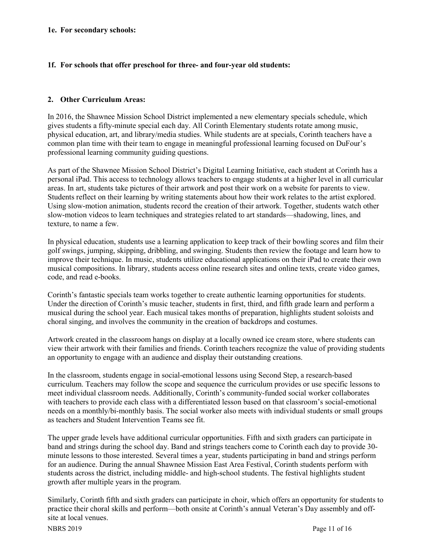#### **1e. For secondary schools:**

#### **1f. For schools that offer preschool for three- and four-year old students:**

# **2. Other Curriculum Areas:**

In 2016, the Shawnee Mission School District implemented a new elementary specials schedule, which gives students a fifty-minute special each day. All Corinth Elementary students rotate among music, physical education, art, and library/media studies. While students are at specials, Corinth teachers have a common plan time with their team to engage in meaningful professional learning focused on DuFour's professional learning community guiding questions.

As part of the Shawnee Mission School District's Digital Learning Initiative, each student at Corinth has a personal iPad. This access to technology allows teachers to engage students at a higher level in all curricular areas. In art, students take pictures of their artwork and post their work on a website for parents to view. Students reflect on their learning by writing statements about how their work relates to the artist explored. Using slow-motion animation, students record the creation of their artwork. Together, students watch other slow-motion videos to learn techniques and strategies related to art standards—shadowing, lines, and texture, to name a few.

In physical education, students use a learning application to keep track of their bowling scores and film their golf swings, jumping, skipping, dribbling, and swinging. Students then review the footage and learn how to improve their technique. In music, students utilize educational applications on their iPad to create their own musical compositions. In library, students access online research sites and online texts, create video games, code, and read e-books.

Corinth's fantastic specials team works together to create authentic learning opportunities for students. Under the direction of Corinth's music teacher, students in first, third, and fifth grade learn and perform a musical during the school year. Each musical takes months of preparation, highlights student soloists and choral singing, and involves the community in the creation of backdrops and costumes.

Artwork created in the classroom hangs on display at a locally owned ice cream store, where students can view their artwork with their families and friends. Corinth teachers recognize the value of providing students an opportunity to engage with an audience and display their outstanding creations.

In the classroom, students engage in social-emotional lessons using Second Step, a research-based curriculum. Teachers may follow the scope and sequence the curriculum provides or use specific lessons to meet individual classroom needs. Additionally, Corinth's community-funded social worker collaborates with teachers to provide each class with a differentiated lesson based on that classroom's social-emotional needs on a monthly/bi-monthly basis. The social worker also meets with individual students or small groups as teachers and Student Intervention Teams see fit.

The upper grade levels have additional curricular opportunities. Fifth and sixth graders can participate in band and strings during the school day. Band and strings teachers come to Corinth each day to provide 30 minute lessons to those interested. Several times a year, students participating in band and strings perform for an audience. During the annual Shawnee Mission East Area Festival, Corinth students perform with students across the district, including middle- and high-school students. The festival highlights student growth after multiple years in the program.

Similarly, Corinth fifth and sixth graders can participate in choir, which offers an opportunity for students to practice their choral skills and perform—both onsite at Corinth's annual Veteran's Day assembly and offsite at local venues.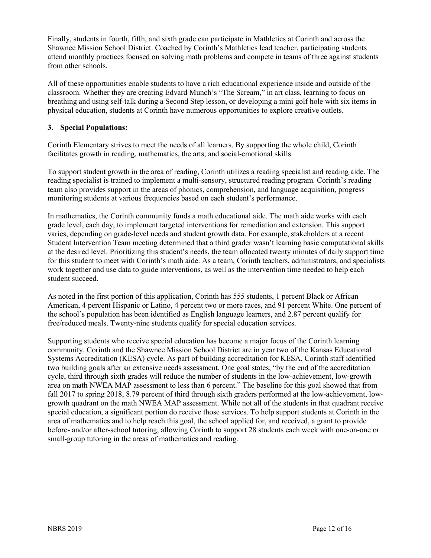Finally, students in fourth, fifth, and sixth grade can participate in Mathletics at Corinth and across the Shawnee Mission School District. Coached by Corinth's Mathletics lead teacher, participating students attend monthly practices focused on solving math problems and compete in teams of three against students from other schools.

All of these opportunities enable students to have a rich educational experience inside and outside of the classroom. Whether they are creating Edvard Munch's "The Scream," in art class, learning to focus on breathing and using self-talk during a Second Step lesson, or developing a mini golf hole with six items in physical education, students at Corinth have numerous opportunities to explore creative outlets.

# **3. Special Populations:**

Corinth Elementary strives to meet the needs of all learners. By supporting the whole child, Corinth facilitates growth in reading, mathematics, the arts, and social-emotional skills.

To support student growth in the area of reading, Corinth utilizes a reading specialist and reading aide. The reading specialist is trained to implement a multi-sensory, structured reading program. Corinth's reading team also provides support in the areas of phonics, comprehension, and language acquisition, progress monitoring students at various frequencies based on each student's performance.

In mathematics, the Corinth community funds a math educational aide. The math aide works with each grade level, each day, to implement targeted interventions for remediation and extension. This support varies, depending on grade-level needs and student growth data. For example, stakeholders at a recent Student Intervention Team meeting determined that a third grader wasn't learning basic computational skills at the desired level. Prioritizing this student's needs, the team allocated twenty minutes of daily support time for this student to meet with Corinth's math aide. As a team, Corinth teachers, administrators, and specialists work together and use data to guide interventions, as well as the intervention time needed to help each student succeed.

As noted in the first portion of this application, Corinth has 555 students, 1 percent Black or African American, 4 percent Hispanic or Latino, 4 percent two or more races, and 91 percent White. One percent of the school's population has been identified as English language learners, and 2.87 percent qualify for free/reduced meals. Twenty-nine students qualify for special education services.

Supporting students who receive special education has become a major focus of the Corinth learning community. Corinth and the Shawnee Mission School District are in year two of the Kansas Educational Systems Accreditation (KESA) cycle. As part of building accreditation for KESA, Corinth staff identified two building goals after an extensive needs assessment. One goal states, "by the end of the accreditation cycle, third through sixth grades will reduce the number of students in the low-achievement, low-growth area on math NWEA MAP assessment to less than 6 percent." The baseline for this goal showed that from fall 2017 to spring 2018, 8.79 percent of third through sixth graders performed at the low-achievement, lowgrowth quadrant on the math NWEA MAP assessment. While not all of the students in that quadrant receive special education, a significant portion do receive those services. To help support students at Corinth in the area of mathematics and to help reach this goal, the school applied for, and received, a grant to provide before- and/or after-school tutoring, allowing Corinth to support 28 students each week with one-on-one or small-group tutoring in the areas of mathematics and reading.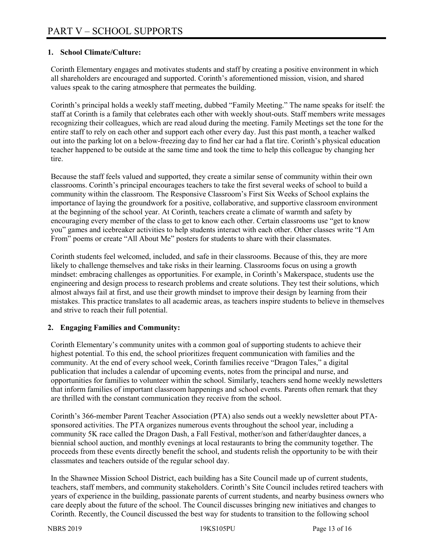# **1. School Climate/Culture:**

Corinth Elementary engages and motivates students and staff by creating a positive environment in which all shareholders are encouraged and supported. Corinth's aforementioned mission, vision, and shared values speak to the caring atmosphere that permeates the building.

Corinth's principal holds a weekly staff meeting, dubbed "Family Meeting." The name speaks for itself: the staff at Corinth is a family that celebrates each other with weekly shout-outs. Staff members write messages recognizing their colleagues, which are read aloud during the meeting. Family Meetings set the tone for the entire staff to rely on each other and support each other every day. Just this past month, a teacher walked out into the parking lot on a below-freezing day to find her car had a flat tire. Corinth's physical education teacher happened to be outside at the same time and took the time to help this colleague by changing her tire.

Because the staff feels valued and supported, they create a similar sense of community within their own classrooms. Corinth's principal encourages teachers to take the first several weeks of school to build a community within the classroom. The Responsive Classroom's First Six Weeks of School explains the importance of laying the groundwork for a positive, collaborative, and supportive classroom environment at the beginning of the school year. At Corinth, teachers create a climate of warmth and safety by encouraging every member of the class to get to know each other. Certain classrooms use "get to know you" games and icebreaker activities to help students interact with each other. Other classes write "I Am From" poems or create "All About Me" posters for students to share with their classmates.

Corinth students feel welcomed, included, and safe in their classrooms. Because of this, they are more likely to challenge themselves and take risks in their learning. Classrooms focus on using a growth mindset: embracing challenges as opportunities. For example, in Corinth's Makerspace, students use the engineering and design process to research problems and create solutions. They test their solutions, which almost always fail at first, and use their growth mindset to improve their design by learning from their mistakes. This practice translates to all academic areas, as teachers inspire students to believe in themselves and strive to reach their full potential.

#### **2. Engaging Families and Community:**

Corinth Elementary's community unites with a common goal of supporting students to achieve their highest potential. To this end, the school prioritizes frequent communication with families and the community. At the end of every school week, Corinth families receive "Dragon Tales," a digital publication that includes a calendar of upcoming events, notes from the principal and nurse, and opportunities for families to volunteer within the school. Similarly, teachers send home weekly newsletters that inform families of important classroom happenings and school events. Parents often remark that they are thrilled with the constant communication they receive from the school.

Corinth's 366-member Parent Teacher Association (PTA) also sends out a weekly newsletter about PTAsponsored activities. The PTA organizes numerous events throughout the school year, including a community 5K race called the Dragon Dash, a Fall Festival, mother/son and father/daughter dances, a biennial school auction, and monthly evenings at local restaurants to bring the community together. The proceeds from these events directly benefit the school, and students relish the opportunity to be with their classmates and teachers outside of the regular school day.

In the Shawnee Mission School District, each building has a Site Council made up of current students, teachers, staff members, and community stakeholders. Corinth's Site Council includes retired teachers with years of experience in the building, passionate parents of current students, and nearby business owners who care deeply about the future of the school. The Council discusses bringing new initiatives and changes to Corinth. Recently, the Council discussed the best way for students to transition to the following school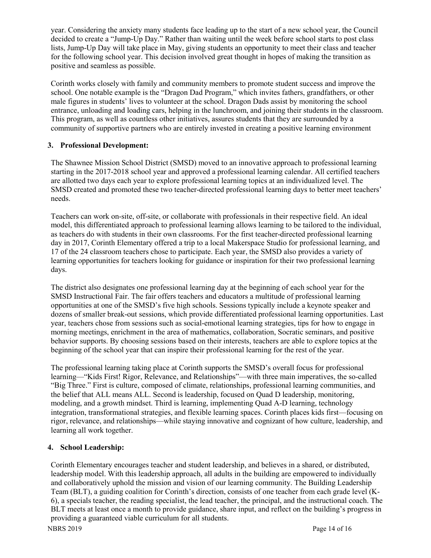year. Considering the anxiety many students face leading up to the start of a new school year, the Council decided to create a "Jump-Up Day." Rather than waiting until the week before school starts to post class lists, Jump-Up Day will take place in May, giving students an opportunity to meet their class and teacher for the following school year. This decision involved great thought in hopes of making the transition as positive and seamless as possible.

Corinth works closely with family and community members to promote student success and improve the school. One notable example is the "Dragon Dad Program," which invites fathers, grandfathers, or other male figures in students' lives to volunteer at the school. Dragon Dads assist by monitoring the school entrance, unloading and loading cars, helping in the lunchroom, and joining their students in the classroom. This program, as well as countless other initiatives, assures students that they are surrounded by a community of supportive partners who are entirely invested in creating a positive learning environment

# **3. Professional Development:**

The Shawnee Mission School District (SMSD) moved to an innovative approach to professional learning starting in the 2017-2018 school year and approved a professional learning calendar. All certified teachers are allotted two days each year to explore professional learning topics at an individualized level. The SMSD created and promoted these two teacher-directed professional learning days to better meet teachers' needs.

Teachers can work on-site, off-site, or collaborate with professionals in their respective field. An ideal model, this differentiated approach to professional learning allows learning to be tailored to the individual, as teachers do with students in their own classrooms. For the first teacher-directed professional learning day in 2017, Corinth Elementary offered a trip to a local Makerspace Studio for professional learning, and 17 of the 24 classroom teachers chose to participate. Each year, the SMSD also provides a variety of learning opportunities for teachers looking for guidance or inspiration for their two professional learning days.

The district also designates one professional learning day at the beginning of each school year for the SMSD Instructional Fair. The fair offers teachers and educators a multitude of professional learning opportunities at one of the SMSD's five high schools. Sessions typically include a keynote speaker and dozens of smaller break-out sessions, which provide differentiated professional learning opportunities. Last year, teachers chose from sessions such as social-emotional learning strategies, tips for how to engage in morning meetings, enrichment in the area of mathematics, collaboration, Socratic seminars, and positive behavior supports. By choosing sessions based on their interests, teachers are able to explore topics at the beginning of the school year that can inspire their professional learning for the rest of the year.

The professional learning taking place at Corinth supports the SMSD's overall focus for professional learning—"Kids First! Rigor, Relevance, and Relationships"—with three main imperatives, the so-called "Big Three." First is culture, composed of climate, relationships, professional learning communities, and the belief that ALL means ALL. Second is leadership, focused on Quad D leadership, monitoring, modeling, and a growth mindset. Third is learning, implementing Quad A-D learning, technology integration, transformational strategies, and flexible learning spaces. Corinth places kids first—focusing on rigor, relevance, and relationships—while staying innovative and cognizant of how culture, leadership, and learning all work together.

# **4. School Leadership:**

Corinth Elementary encourages teacher and student leadership, and believes in a shared, or distributed, leadership model. With this leadership approach, all adults in the building are empowered to individually and collaboratively uphold the mission and vision of our learning community. The Building Leadership Team (BLT), a guiding coalition for Corinth's direction, consists of one teacher from each grade level (K-6), a specials teacher, the reading specialist, the lead teacher, the principal, and the instructional coach. The BLT meets at least once a month to provide guidance, share input, and reflect on the building's progress in providing a guaranteed viable curriculum for all students.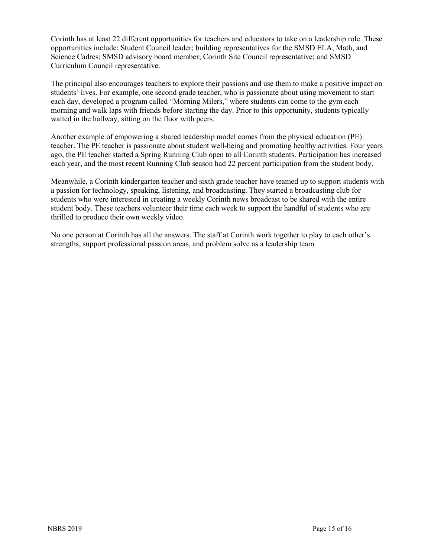Corinth has at least 22 different opportunities for teachers and educators to take on a leadership role. These opportunities include: Student Council leader; building representatives for the SMSD ELA, Math, and Science Cadres; SMSD advisory board member; Corinth Site Council representative; and SMSD Curriculum Council representative.

The principal also encourages teachers to explore their passions and use them to make a positive impact on students' lives. For example, one second grade teacher, who is passionate about using movement to start each day, developed a program called "Morning Milers," where students can come to the gym each morning and walk laps with friends before starting the day. Prior to this opportunity, students typically waited in the hallway, sitting on the floor with peers.

Another example of empowering a shared leadership model comes from the physical education (PE) teacher. The PE teacher is passionate about student well-being and promoting healthy activities. Four years ago, the PE teacher started a Spring Running Club open to all Corinth students. Participation has increased each year, and the most recent Running Club season had 22 percent participation from the student body.

Meanwhile, a Corinth kindergarten teacher and sixth grade teacher have teamed up to support students with a passion for technology, speaking, listening, and broadcasting. They started a broadcasting club for students who were interested in creating a weekly Corinth news broadcast to be shared with the entire student body. These teachers volunteer their time each week to support the handful of students who are thrilled to produce their own weekly video.

No one person at Corinth has all the answers. The staff at Corinth work together to play to each other's strengths, support professional passion areas, and problem solve as a leadership team.